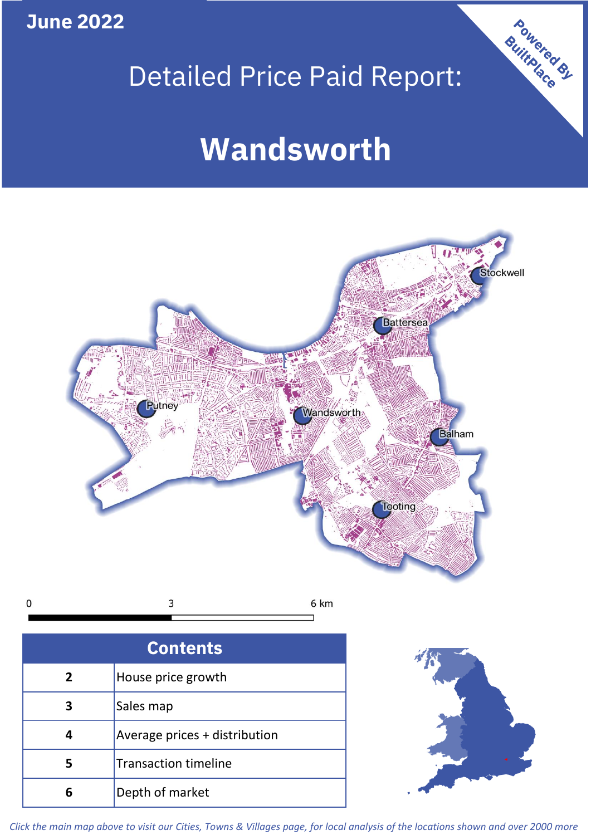**June 2022**

# Detailed Price Paid Report:

Powered By

# **Wandsworth**



*Click the main map above to visit our Cities, Towns & Villages page, for local analysis of the locations shown and over 2000 more*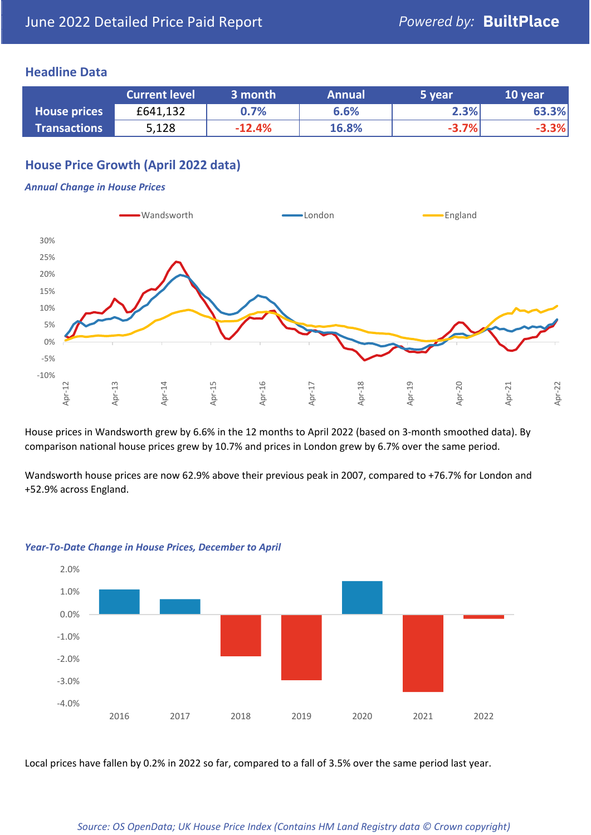## **Headline Data**

|                     | <b>Current level</b> | 3 month  | <b>Annual</b> | 5 year  | 10 year |
|---------------------|----------------------|----------|---------------|---------|---------|
| <b>House prices</b> | £641,132             | 0.7%     | 6.6%          | 2.3%    | 63.3%   |
| <b>Transactions</b> | 5,128                | $-12.4%$ | 16.8%         | $-3.7%$ | $-3.3%$ |

## **House Price Growth (April 2022 data)**

### *Annual Change in House Prices*



House prices in Wandsworth grew by 6.6% in the 12 months to April 2022 (based on 3-month smoothed data). By comparison national house prices grew by 10.7% and prices in London grew by 6.7% over the same period.

Wandsworth house prices are now 62.9% above their previous peak in 2007, compared to +76.7% for London and +52.9% across England.



#### *Year-To-Date Change in House Prices, December to April*

Local prices have fallen by 0.2% in 2022 so far, compared to a fall of 3.5% over the same period last year.

#### *Source: OS OpenData; UK House Price Index (Contains HM Land Registry data © Crown copyright)*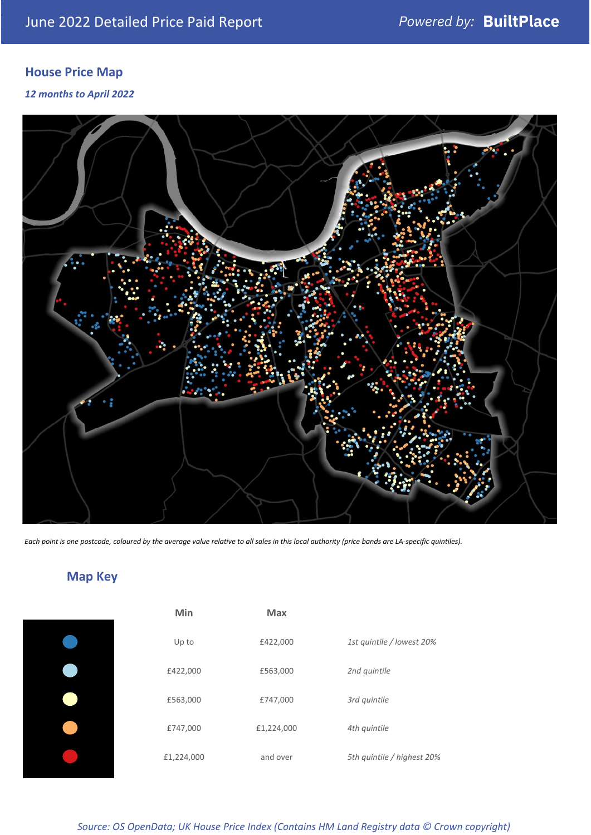# **House Price Map**

*12 months to April 2022*



*Each point is one postcode, coloured by the average value relative to all sales in this local authority (price bands are LA-specific quintiles).*

# **Map Key**

| Min        | <b>Max</b> |                            |
|------------|------------|----------------------------|
| Up to      | £422,000   | 1st quintile / lowest 20%  |
| £422,000   | £563,000   | 2nd quintile               |
| £563,000   | £747,000   | 3rd quintile               |
| £747,000   | £1,224,000 | 4th quintile               |
| £1,224,000 | and over   | 5th quintile / highest 20% |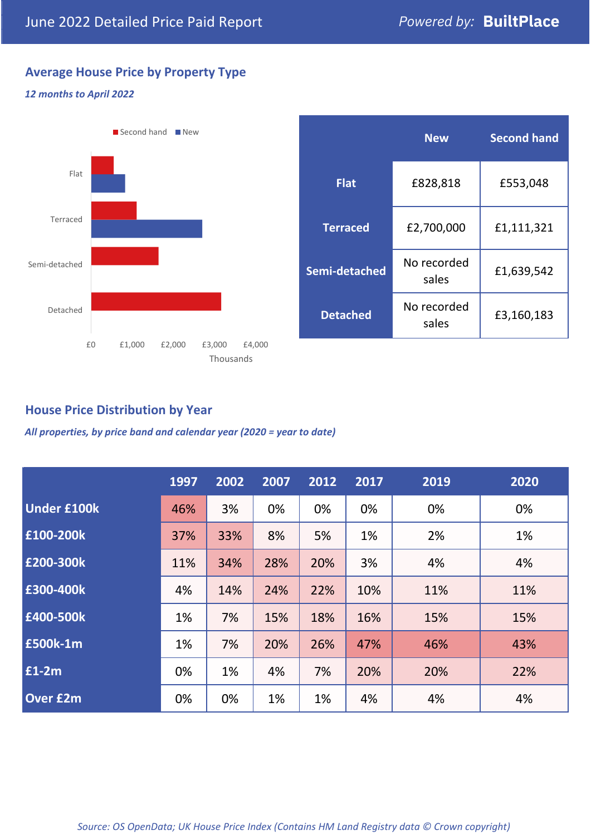# **Average House Price by Property Type**

## *12 months to April 2022*



|                 | <b>New</b>           | <b>Second hand</b> |  |
|-----------------|----------------------|--------------------|--|
| <b>Flat</b>     | £828,818             | £553,048           |  |
| <b>Terraced</b> | £2,700,000           | £1,111,321         |  |
| Semi-detached   | No recorded<br>sales | £1,639,542         |  |
| <b>Detached</b> | No recorded<br>sales | £3,160,183         |  |

## **House Price Distribution by Year**

*All properties, by price band and calendar year (2020 = year to date)*

|                    | 1997 | 2002 | 2007 | 2012 | 2017 | 2019 | 2020 |
|--------------------|------|------|------|------|------|------|------|
| <b>Under £100k</b> | 46%  | 3%   | 0%   | 0%   | 0%   | 0%   | 0%   |
| £100-200k          | 37%  | 33%  | 8%   | 5%   | 1%   | 2%   | 1%   |
| E200-300k          | 11%  | 34%  | 28%  | 20%  | 3%   | 4%   | 4%   |
| £300-400k          | 4%   | 14%  | 24%  | 22%  | 10%  | 11%  | 11%  |
| £400-500k          | 1%   | 7%   | 15%  | 18%  | 16%  | 15%  | 15%  |
| <b>£500k-1m</b>    | 1%   | 7%   | 20%  | 26%  | 47%  | 46%  | 43%  |
| £1-2m              | 0%   | 1%   | 4%   | 7%   | 20%  | 20%  | 22%  |
| <b>Over £2m</b>    | 0%   | 0%   | 1%   | 1%   | 4%   | 4%   | 4%   |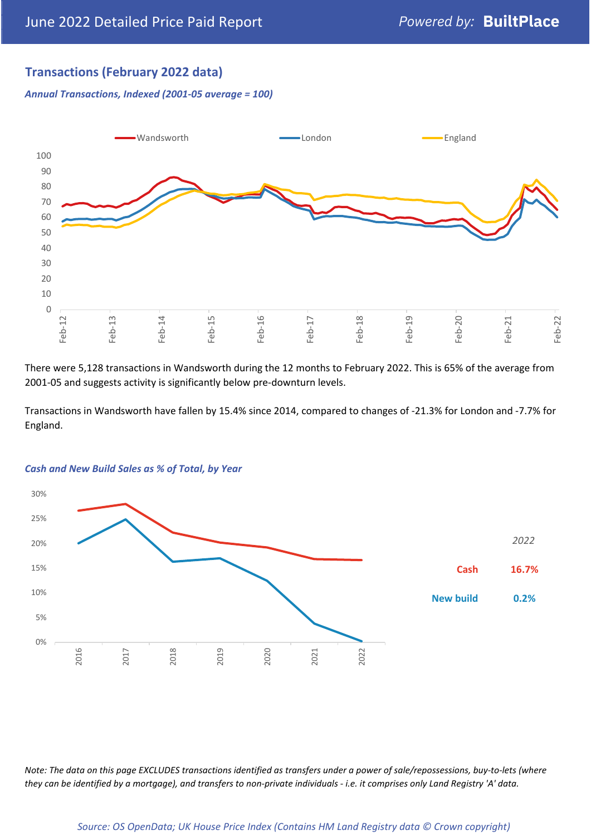## **Transactions (February 2022 data)**

*Annual Transactions, Indexed (2001-05 average = 100)*



There were 5,128 transactions in Wandsworth during the 12 months to February 2022. This is 65% of the average from 2001-05 and suggests activity is significantly below pre-downturn levels.

Transactions in Wandsworth have fallen by 15.4% since 2014, compared to changes of -21.3% for London and -7.7% for England.



#### *Cash and New Build Sales as % of Total, by Year*

*Note: The data on this page EXCLUDES transactions identified as transfers under a power of sale/repossessions, buy-to-lets (where they can be identified by a mortgage), and transfers to non-private individuals - i.e. it comprises only Land Registry 'A' data.*